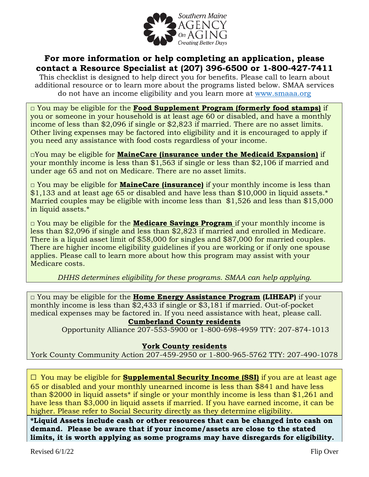

### **For more information or help completing an application, please contact a Resource Specialist at (207) 396-6500 or 1-800-427-7411**

This checklist is designed to help direct you for benefits. Please call to learn about additional resource or to learn more about the programs listed below. SMAA services do not have an income eligibility and you learn more at [www.smaaa.org](http://www.smaaa.org/)

**□** You may be eligible for the **Food Supplement Program (formerly food stamps)** if you or someone in your household is at least age 60 or disabled, and have a monthly income of less than \$2,096 if single or \$2,823 if married. There are no asset limits. Other living expenses may be factored into eligibility and it is encouraged to apply if you need any assistance with food costs regardless of your income.

**□**You may be eligible for **MaineCare (insurance under the Medicaid Expansion)** if your monthly income is less than \$1,563 if single or less than \$2,106 if married and under age 65 and not on Medicare. There are no asset limits.

**□** You may be eligible for **MaineCare (insurance)** if your monthly income is less than \$1,133 and at least age 65 or disabled and have less than \$10,000 in liquid assets.\* Married couples may be eligible with income less than \$1,526 and less than \$15,000 in liquid assets.\*

**□** You may be eligible for the **Medicare Savings Program** if your monthly income is less than \$2,096 if single and less than \$2,823 if married and enrolled in Medicare. There is a liquid asset limit of \$58,000 for singles and \$87,000 for married couples. There are higher income eligibility guidelines if you are working or if only one spouse applies. Please call to learn more about how this program may assist with your Medicare costs.

*DHHS determines eligibility for these programs. SMAA can help applying.*

□ You may be eligible for the **Home Energy Assistance Program (LIHEAP)** if your monthly income is less than \$2,433 if single or \$3,181 if married. Out-of-pocket medical expenses may be factored in. If you need assistance with heat, please call.

#### **Cumberland County residents**

Opportunity Alliance 207-553-5900 or 1-800-698-4959 TTY: 207-874-1013

#### **York County residents**

York County Community Action 207-459-2950 or 1-800-965-5762 TTY: 207-490-1078

**□** You may be eligible for **Supplemental Security Income (SSI)** if you are at least age 65 or disabled and your monthly unearned income is less than \$841 and have less than \$2000 in liquid assets\* if single or your monthly income is less than \$1,261 and have less than \$3,000 in liquid assets if married. If you have earned income, it can be higher. Please refer to Social Security directly as they determine eligibility.

**\*Liquid Assets include cash or other resources that can be changed into cash on demand. Please be aware that if your income/assets are close to the stated limits, it is worth applying as some programs may have disregards for eligibility.**